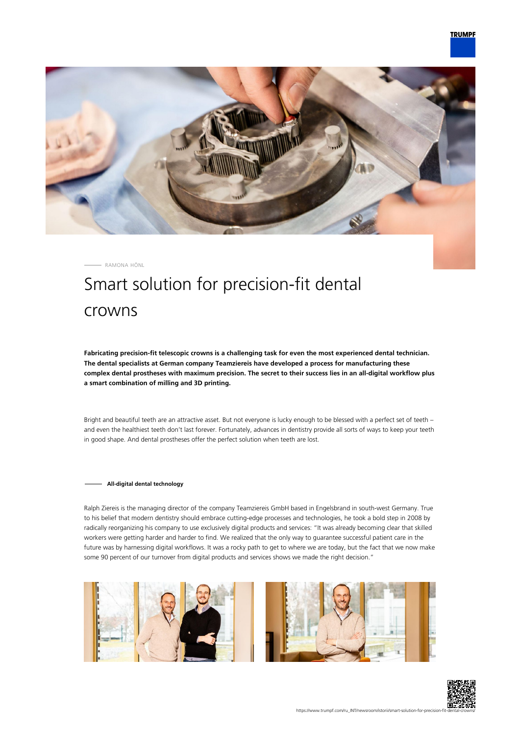

RAMONA HÖNL

# Smart solution for precision-fit dental crowns

**Fabricating precision-fit telescopic crowns is a challenging task for even the most experienced dental technician. The dental specialists at German company Teamziereis have developed a process for manufacturing these complex dental prostheses with maximum precision. The secret to their success lies in an all-digital workflow plus a smart combination of milling and 3D printing.**

Bright and beautiful teeth are an attractive asset. But not everyone is lucky enough to be blessed with a perfect set of teeth – and even the healthiest teeth don't last forever. Fortunately, advances in dentistry provide all sorts of ways to keep your teeth in good shape. And dental prostheses offer the perfect solution when teeth are lost.

## **All-digital dental technology**

Ralph Ziereis is the managing director of the company Teamziereis GmbH based in Engelsbrand in south-west Germany. True to his belief that modern dentistry should embrace cutting-edge processes and technologies, he took a bold step in 2008 by radically reorganizing his company to use exclusively digital products and services: "It was already becoming clear that skilled workers were getting harder and harder to find. We realized that the only way to guarantee successful patient care in the future was by harnessing digital workflows. It was a rocky path to get to where we are today, but the fact that we now make some 90 percent of our turnover from digital products and services shows we made the right decision."





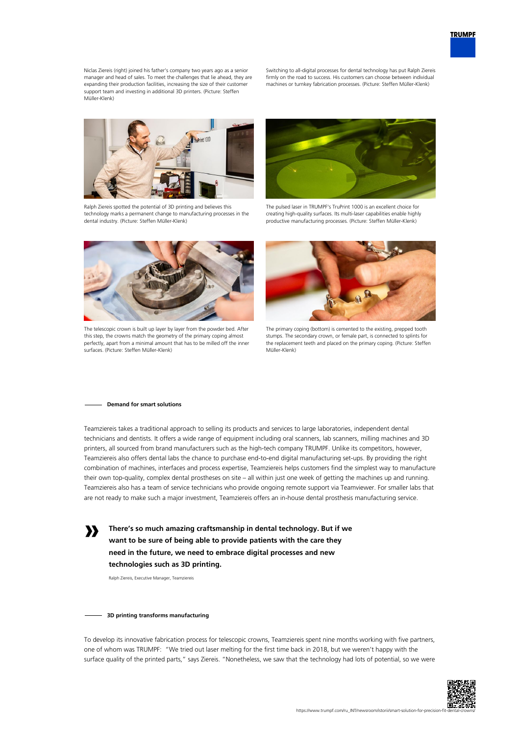Niclas Ziereis (right) joined his father's company two years ago as a senior manager and head of sales. To meet the challenges that lie ahead, they are expanding their production facilities, increasing the size of their customer support team and investing in additional 3D printers. (Picture: Steffen Müller-Klenk)

Switching to all-digital processes for dental technology has put Ralph Ziereis firmly on the road to success. His customers can choose between individual machines or turnkey fabrication processes. (Picture: Steffen Müller-Klenk)



Ralph Ziereis spotted the potential of 3D printing and believes this technology marks a permanent change to manufacturing processes in the dental industry. (Picture: Steffen Müller-Klenk)



The pulsed laser in TRUMPF's TruPrint 1000 is an excellent choice for creating high-quality surfaces. Its multi-laser capabilities enable highly productive manufacturing processes. (Picture: Steffen Müller-Klenk)



The telescopic crown is built up layer by layer from the powder bed. After this step, the crowns match the geometry of the primary coping almost perfectly, apart from a minimal amount that has to be milled off the inner surfaces. (Picture: Steffen Müller-Klenk)



The primary coping (bottom) is cemented to the existing, prepped tooth stumps. The secondary crown, or female part, is connected to splints for the replacement teeth and placed on the primary coping. (Picture: Steffen Müller-Klenk)

#### **Demand for smart solutions**

**»**

Teamziereis takes a traditional approach to selling its products and services to large laboratories, independent dental technicians and dentists. It offers a wide range of equipment including oral scanners, lab scanners, milling machines and 3D printers, all sourced from brand manufacturers such as the high-tech company TRUMPF. Unlike its competitors, however, Teamziereis also offers dental labs the chance to purchase end-to-end digital manufacturing set-ups. By providing the right combination of machines, interfaces and process expertise, Teamziereis helps customers find the simplest way to manufacture their own top-quality, complex dental prostheses on site – all within just one week of getting the machines up and running. Teamziereis also has a team of service technicians who provide ongoing remote support via Teamviewer. For smaller labs that are not ready to make such a major investment, Teamziereis offers an in-house dental prosthesis manufacturing service.

**There's so much amazing craftsmanship in dental technology. But if we want to be sure of being able to provide patients with the care they need in the future, we need to embrace digital processes and new technologies such as 3D printing.**

Ralph Ziereis, Executive Manager, Teamziereis

## **3D printing transforms manufacturing**

To develop its innovative fabrication process for telescopic crowns, Teamziereis spent nine months working with five partners, one of whom was TRUMPF: "We tried out laser melting for the first time back in 2018, but we weren't happy with the surface quality of the printed parts," says Ziereis. "Nonetheless, we saw that the technology had lots of potential, so we were